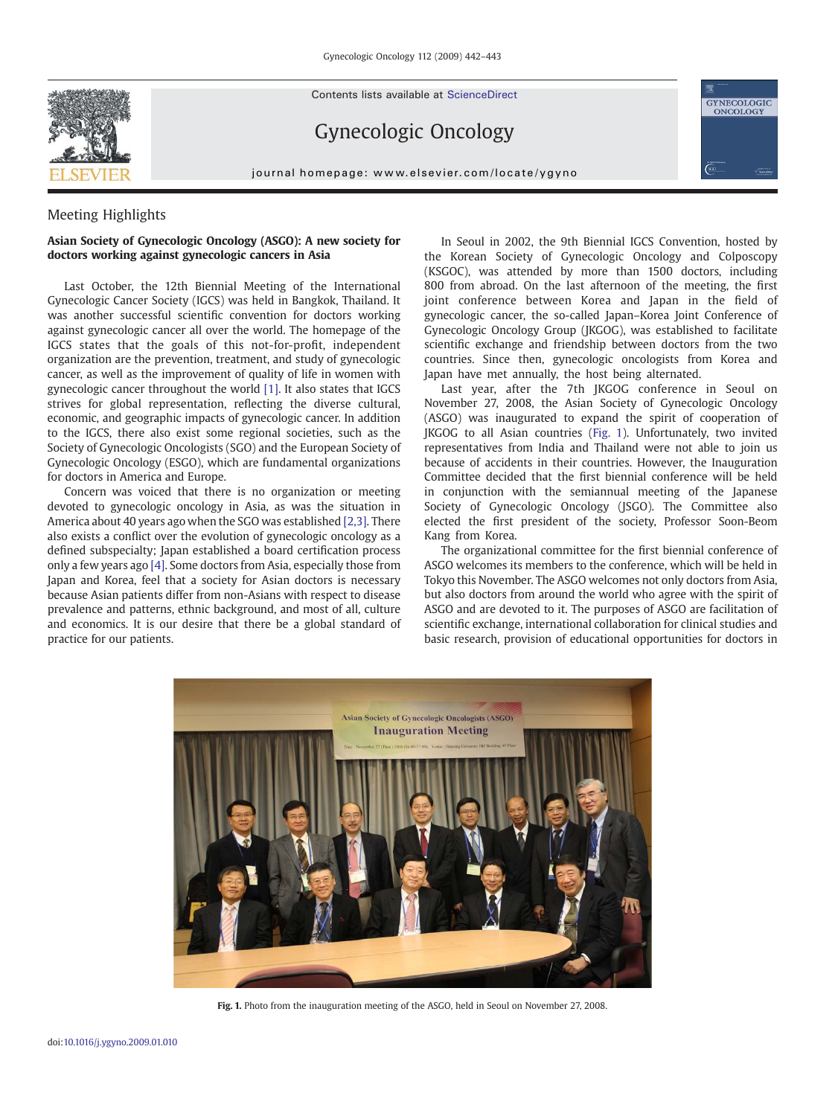

Contents lists available at ScienceDirect

## Gynecologic Oncology

journal homepage: www.elsevier.com/locate/ygyno

## Meeting Highlights

## Asian Society of Gynecologic Oncology (ASGO): A new society for doctors working against gynecologic cancers in Asia

Last October, the 12th Biennial Meeting of the International Gynecologic Cancer Society (IGCS) was held in Bangkok, Thailand. It was another successful scientific convention for doctors working against gynecologic cancer all over the world. The homepage of the IGCS states that the goals of this not-for-profit, independent organization are the prevention, treatment, and study of gynecologic cancer, as well as the improvement of quality of life in women with gynecologic cancer throughout the world [\[1\].](#page-1-0) It also states that IGCS strives for global representation, reflecting the diverse cultural, economic, and geographic impacts of gynecologic cancer. In addition to the IGCS, there also exist some regional societies, such as the Society of Gynecologic Oncologists (SGO) and the European Society of Gynecologic Oncology (ESGO), which are fundamental organizations for doctors in America and Europe.

Concern was voiced that there is no organization or meeting devoted to gynecologic oncology in Asia, as was the situation in America about 40 years ago when the SGO was established [\[2,3\].](#page-1-0) There also exists a conflict over the evolution of gynecologic oncology as a defined subspecialty; Japan established a board certification process only a few years ago [\[4\]](#page-1-0). Some doctors from Asia, especially those from Japan and Korea, feel that a society for Asian doctors is necessary because Asian patients differ from non-Asians with respect to disease prevalence and patterns, ethnic background, and most of all, culture and economics. It is our desire that there be a global standard of practice for our patients.

In Seoul in 2002, the 9th Biennial IGCS Convention, hosted by the Korean Society of Gynecologic Oncology and Colposcopy (KSGOC), was attended by more than 1500 doctors, including 800 from abroad. On the last afternoon of the meeting, the first joint conference between Korea and Japan in the field of gynecologic cancer, the so-called Japan–Korea Joint Conference of Gynecologic Oncology Group (JKGOG), was established to facilitate scientific exchange and friendship between doctors from the two countries. Since then, gynecologic oncologists from Korea and Japan have met annually, the host being alternated.

GYNECOLOGIC<br>ONCOLOGY

Last year, after the 7th JKGOG conference in Seoul on November 27, 2008, the Asian Society of Gynecologic Oncology (ASGO) was inaugurated to expand the spirit of cooperation of JKGOG to all Asian countries (Fig. 1). Unfortunately, two invited representatives from India and Thailand were not able to join us because of accidents in their countries. However, the Inauguration Committee decided that the first biennial conference will be held in conjunction with the semiannual meeting of the Japanese Society of Gynecologic Oncology (JSGO). The Committee also elected the first president of the society, Professor Soon-Beom Kang from Korea.

The organizational committee for the first biennial conference of ASGO welcomes its members to the conference, which will be held in Tokyo this November. The ASGO welcomes not only doctors from Asia, but also doctors from around the world who agree with the spirit of ASGO and are devoted to it. The purposes of ASGO are facilitation of scientific exchange, international collaboration for clinical studies and basic research, provision of educational opportunities for doctors in



Fig. 1. Photo from the inauguration meeting of the ASGO, held in Seoul on November 27, 2008.